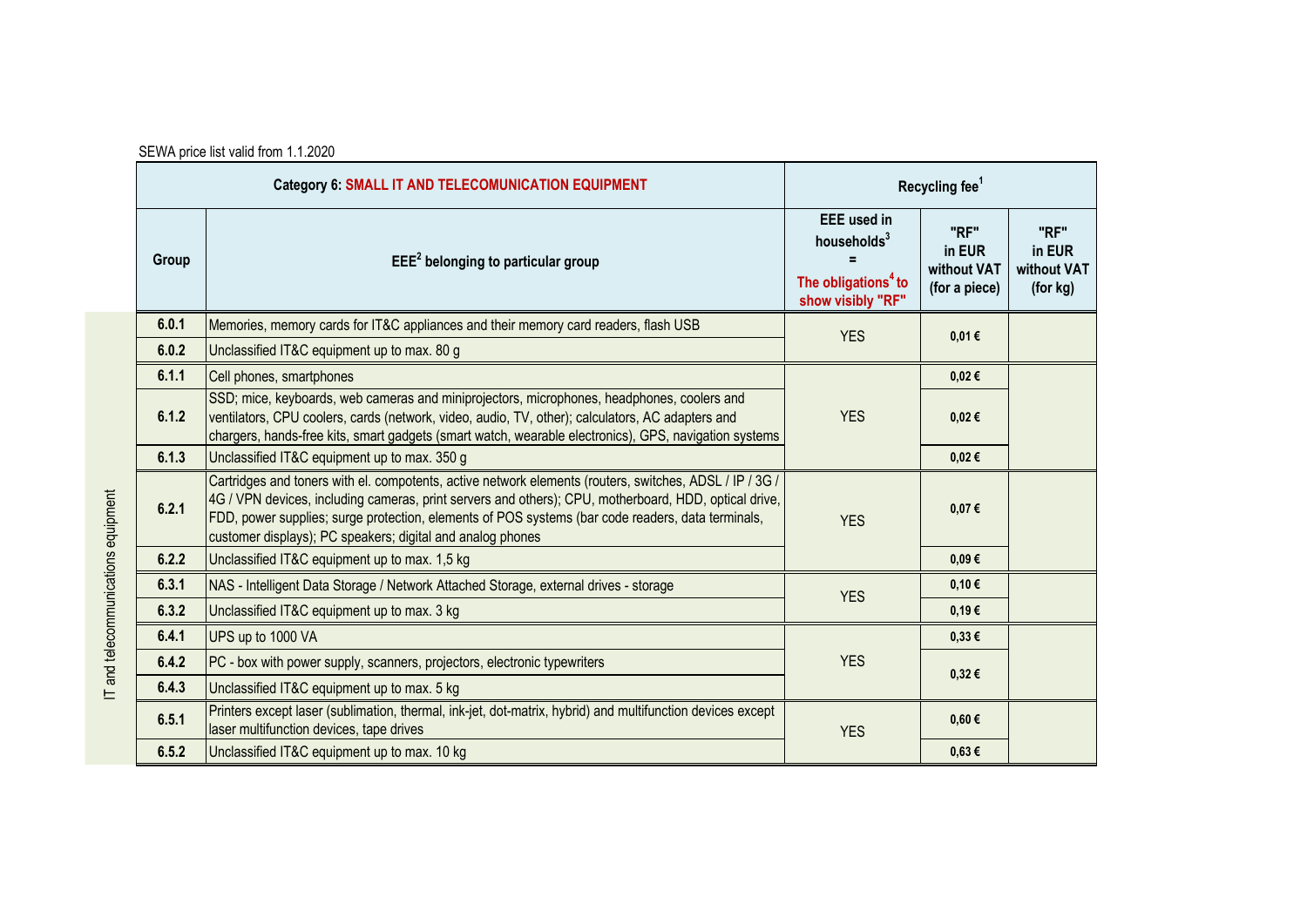| <b>Category 6: SMALL IT AND TELECOMUNICATION EQUIPMENT</b> |                                                                                                                                                                                                                                                                                                                                                                                     | Recycling fee <sup>1</sup>                                                                            |                                                |                                           |
|------------------------------------------------------------|-------------------------------------------------------------------------------------------------------------------------------------------------------------------------------------------------------------------------------------------------------------------------------------------------------------------------------------------------------------------------------------|-------------------------------------------------------------------------------------------------------|------------------------------------------------|-------------------------------------------|
| Group                                                      | $EEE2$ belonging to particular group                                                                                                                                                                                                                                                                                                                                                | <b>EEE</b> used in<br>households <sup>3</sup><br>The obligations <sup>4</sup> to<br>show visibly "RF" | "RF"<br>in EUR<br>without VAT<br>(for a piece) | "RF"<br>in EUR<br>without VAT<br>(for kg) |
| 6.0.1                                                      | Memories, memory cards for IT&C appliances and their memory card readers, flash USB                                                                                                                                                                                                                                                                                                 | <b>YES</b>                                                                                            | 0,01€                                          |                                           |
| 6.0.2                                                      | Unclassified IT&C equipment up to max. 80 g                                                                                                                                                                                                                                                                                                                                         |                                                                                                       |                                                |                                           |
| 6.1.1                                                      | Cell phones, smartphones                                                                                                                                                                                                                                                                                                                                                            | <b>YES</b>                                                                                            | $0,02 \in$                                     |                                           |
| 6.1.2                                                      | SSD; mice, keyboards, web cameras and miniprojectors, microphones, headphones, coolers and<br>ventilators, CPU coolers, cards (network, video, audio, TV, other); calculators, AC adapters and<br>chargers, hands-free kits, smart gadgets (smart watch, wearable electronics), GPS, navigation systems                                                                             |                                                                                                       | 0,02€                                          |                                           |
| 6.1.3                                                      | Unclassified IT&C equipment up to max. 350 g                                                                                                                                                                                                                                                                                                                                        |                                                                                                       | $0,02 \in$                                     |                                           |
| 6.2.1                                                      | Cartridges and toners with el. compotents, active network elements (routers, switches, ADSL / IP / 3G /<br>4G / VPN devices, including cameras, print servers and others); CPU, motherboard, HDD, optical drive,<br>FDD, power supplies; surge protection, elements of POS systems (bar code readers, data terminals,<br>customer displays); PC speakers; digital and analog phones | <b>YES</b>                                                                                            | 0,07€                                          |                                           |
| 6.2.2                                                      | Unclassified IT&C equipment up to max. 1,5 kg                                                                                                                                                                                                                                                                                                                                       |                                                                                                       | $0,09 \in$                                     |                                           |
| 6.3.1                                                      | NAS - Intelligent Data Storage / Network Attached Storage, external drives - storage                                                                                                                                                                                                                                                                                                | <b>YES</b>                                                                                            | 0,10€                                          |                                           |
| 6.3.2                                                      | Unclassified IT&C equipment up to max. 3 kg                                                                                                                                                                                                                                                                                                                                         |                                                                                                       | 0,19€                                          |                                           |
| 6.4.1                                                      | UPS up to 1000 VA                                                                                                                                                                                                                                                                                                                                                                   | <b>YES</b>                                                                                            | 0,33€                                          |                                           |
| 6.4.2                                                      | PC - box with power supply, scanners, projectors, electronic typewriters                                                                                                                                                                                                                                                                                                            |                                                                                                       | 0,32€                                          |                                           |
| 6.4.3                                                      | Unclassified IT&C equipment up to max. 5 kg                                                                                                                                                                                                                                                                                                                                         |                                                                                                       |                                                |                                           |
| 6.5.1                                                      | Printers except laser (sublimation, thermal, ink-jet, dot-matrix, hybrid) and multifunction devices except<br>laser multifunction devices, tape drives                                                                                                                                                                                                                              | <b>YES</b>                                                                                            | $0,60 \in$                                     |                                           |
| 6.5.2                                                      | Unclassified IT&C equipment up to max. 10 kg                                                                                                                                                                                                                                                                                                                                        |                                                                                                       | $0,63 \in$                                     |                                           |

SEWA price list valid from 1.1.2020